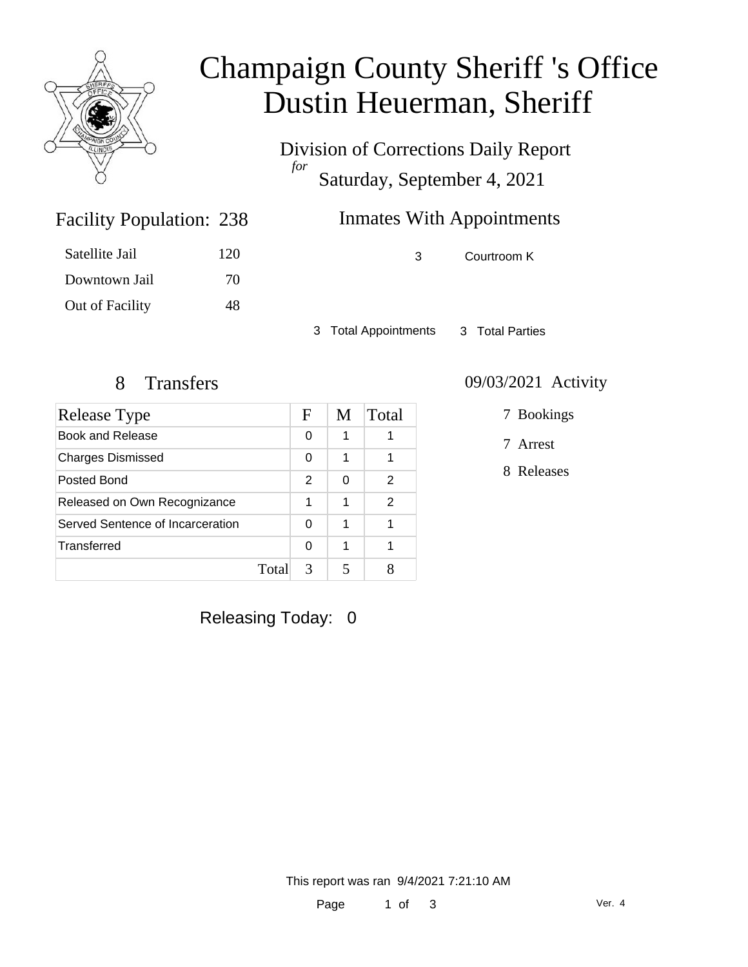

## Champaign County Sheriff 's Office Dustin Heuerman, Sheriff

Division of Corrections Daily Report *for* Saturday, September 4, 2021

### Inmates With Appointments

Facility Population: 238

| Satellite Jail  | 120 |
|-----------------|-----|
| Downtown Jail   | 70  |
| Out of Facility | 48  |

3 Courtroom K

3 Total Appointments 3 Total Parties

| Release Type                     |       | F             | M | Total |
|----------------------------------|-------|---------------|---|-------|
| Book and Release                 |       | 0             | 1 |       |
| <b>Charges Dismissed</b>         |       | 0             | 1 | 1     |
| Posted Bond                      |       | $\mathcal{P}$ | 0 | 2     |
| Released on Own Recognizance     |       | 1             | 1 | 2     |
| Served Sentence of Incarceration |       | 0             | 1 |       |
| Transferred                      |       | 0             | 1 |       |
|                                  | Total | 3             |   |       |

#### 8 Transfers 09/03/2021 Activity

7 Bookings

7 Arrest

8 Releases

Releasing Today: 0

This report was ran 9/4/2021 7:21:10 AM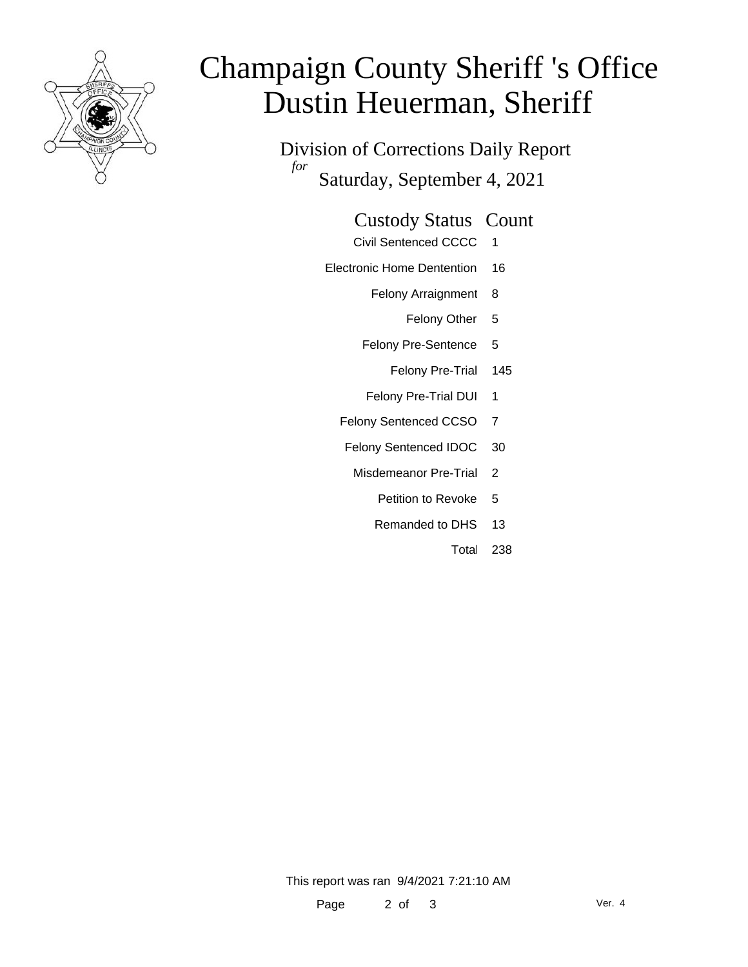

# Champaign County Sheriff 's Office Dustin Heuerman, Sheriff

Division of Corrections Daily Report *for* Saturday, September 4, 2021

#### Custody Status Count

- Civil Sentenced CCCC 1
- Electronic Home Dentention 16
	- Felony Arraignment 8
		- Felony Other 5
	- Felony Pre-Sentence 5
		- Felony Pre-Trial 145
	- Felony Pre-Trial DUI 1
	- Felony Sentenced CCSO 7
	- Felony Sentenced IDOC 30
		- Misdemeanor Pre-Trial 2
			- Petition to Revoke 5
			- Remanded to DHS 13
				- Total 238

This report was ran 9/4/2021 7:21:10 AM